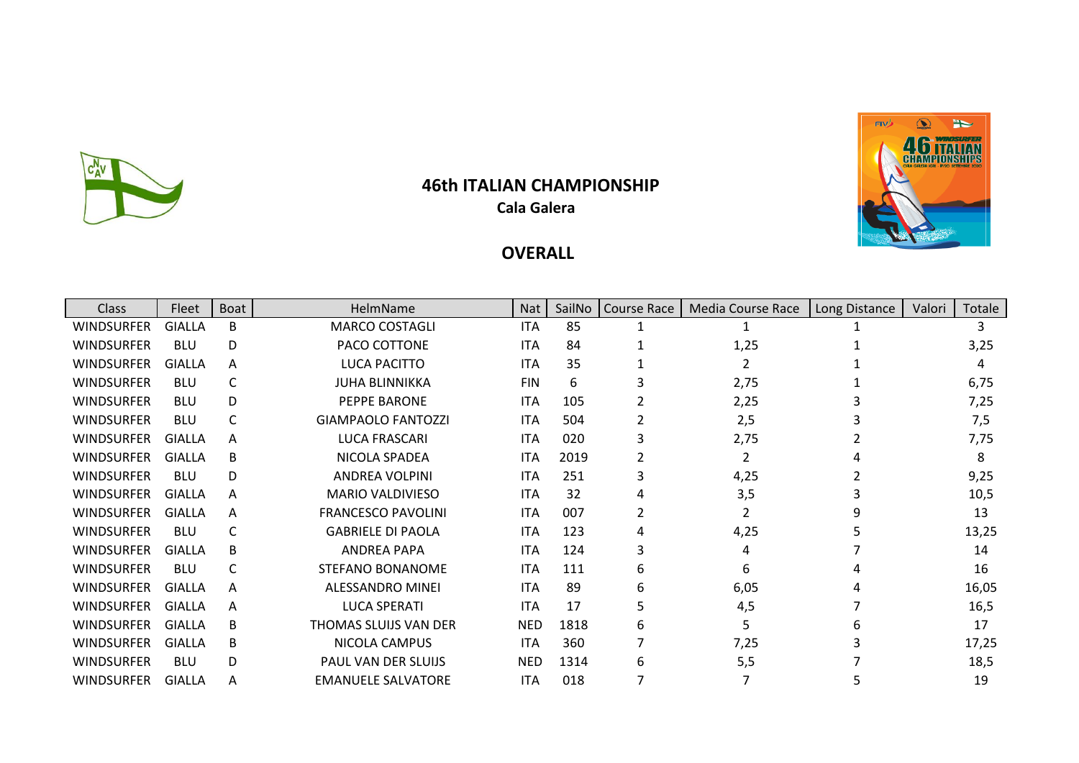

## **46th ITALIAN CHAMPIONSHIP Cala Galera**



## **OVERALL**

| Class             | Fleet         | <b>Boat</b> | HelmName                  | <b>Nat</b> | SailNo | <b>Course Race</b> | Media Course Race | Long Distance | Valori | Totale |
|-------------------|---------------|-------------|---------------------------|------------|--------|--------------------|-------------------|---------------|--------|--------|
| WINDSURFER        | <b>GIALLA</b> | B           | <b>MARCO COSTAGLI</b>     | <b>ITA</b> | 85     |                    |                   |               |        |        |
| WINDSURFER        | <b>BLU</b>    | D           | PACO COTTONE              | <b>ITA</b> | 84     |                    | 1,25              |               |        | 3,25   |
| WINDSURFER        | GIALLA        | A           | LUCA PACITTO              | <b>ITA</b> | 35     |                    | $\mathcal{L}$     |               |        | 4      |
| WINDSURFER        | <b>BLU</b>    | C           | <b>JUHA BLINNIKKA</b>     | <b>FIN</b> | 6      | 3                  | 2,75              |               |        | 6,75   |
| WINDSURFER        | <b>BLU</b>    | D           | PEPPE BARONE              | <b>ITA</b> | 105    |                    | 2,25              |               |        | 7,25   |
| WINDSURFER        | <b>BLU</b>    | C           | <b>GIAMPAOLO FANTOZZI</b> | <b>ITA</b> | 504    |                    | 2,5               |               |        | 7,5    |
| WINDSURFER        | GIALLA        | A           | <b>LUCA FRASCARI</b>      | <b>ITA</b> | 020    | 3                  | 2,75              |               |        | 7,75   |
| <b>WINDSURFER</b> | GIALLA        | B           | NICOLA SPADEA             | <b>ITA</b> | 2019   | 2                  | $\overline{2}$    |               |        | 8      |
| <b>WINDSURFER</b> | <b>BLU</b>    | D           | <b>ANDREA VOLPINI</b>     | <b>ITA</b> | 251    | 3                  | 4,25              |               |        | 9,25   |
| WINDSURFER        | GIALLA        | A           | <b>MARIO VALDIVIESO</b>   | <b>ITA</b> | 32     | 4                  | 3,5               |               |        | 10,5   |
| <b>WINDSURFER</b> | <b>GIALLA</b> | A           | <b>FRANCESCO PAVOLINI</b> | <b>ITA</b> | 007    | 2                  | $\overline{2}$    |               |        | 13     |
| WINDSURFER        | <b>BLU</b>    | C           | <b>GABRIELE DI PAOLA</b>  | <b>ITA</b> | 123    | 4                  | 4,25              |               |        | 13,25  |
| <b>WINDSURFER</b> | <b>GIALLA</b> | B           | <b>ANDREA PAPA</b>        | <b>ITA</b> | 124    | 3                  | 4                 |               |        | 14     |
| <b>WINDSURFER</b> | <b>BLU</b>    | C           | STEFANO BONANOME          | <b>ITA</b> | 111    | 6                  | 6                 |               |        | 16     |
| WINDSURFER        | <b>GIALLA</b> | A           | ALESSANDRO MINEI          | <b>ITA</b> | 89     | 6                  | 6,05              |               |        | 16,05  |
| WINDSURFER        | GIALLA        | A           | <b>LUCA SPERATI</b>       | ITA.       | 17     | 5                  | 4,5               |               |        | 16,5   |
| WINDSURFER        | GIALLA        | B           | THOMAS SLUIJS VAN DER     | <b>NED</b> | 1818   | 6                  | 5                 |               |        | 17     |
| WINDSURFER        | <b>GIALLA</b> | B           | NICOLA CAMPUS             | ITA.       | 360    | 7                  | 7,25              |               |        | 17,25  |
| WINDSURFER        | <b>BLU</b>    | D           | PAUL VAN DER SLUIJS       | <b>NED</b> | 1314   | 6                  | 5,5               |               |        | 18,5   |
| <b>WINDSURFER</b> | GIALLA        | A           | <b>EMANUELE SALVATORE</b> | <b>ITA</b> | 018    | 7                  |                   |               |        | 19     |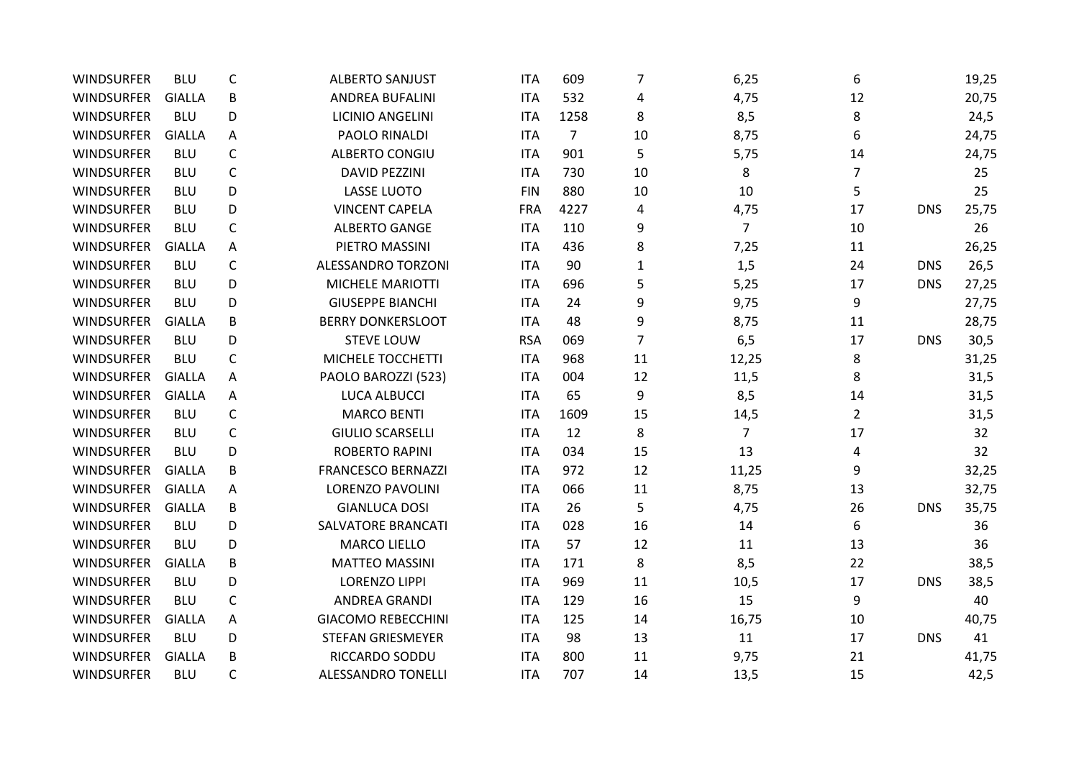| WINDSURFER        | <b>BLU</b>    | C            | <b>ALBERTO SANJUST</b>    | <b>ITA</b> | 609            | 7  | 6,25           | 6              |            | 19,25 |
|-------------------|---------------|--------------|---------------------------|------------|----------------|----|----------------|----------------|------------|-------|
| <b>WINDSURFER</b> | <b>GIALLA</b> | B            | <b>ANDREA BUFALINI</b>    | <b>ITA</b> | 532            | 4  | 4,75           | 12             |            | 20,75 |
| <b>WINDSURFER</b> | <b>BLU</b>    | D            | <b>LICINIO ANGELINI</b>   | <b>ITA</b> | 1258           | 8  | 8,5            | 8              |            | 24,5  |
| <b>WINDSURFER</b> | <b>GIALLA</b> | A            | PAOLO RINALDI             | <b>ITA</b> | $\overline{7}$ | 10 | 8,75           | 6              |            | 24,75 |
| <b>WINDSURFER</b> | <b>BLU</b>    | C            | <b>ALBERTO CONGIU</b>     | <b>ITA</b> | 901            | 5  | 5,75           | 14             |            | 24,75 |
| WINDSURFER        | <b>BLU</b>    | $\mathsf{C}$ | <b>DAVID PEZZINI</b>      | <b>ITA</b> | 730            | 10 | 8              | 7              |            | 25    |
| <b>WINDSURFER</b> | <b>BLU</b>    | D            | <b>LASSE LUOTO</b>        | <b>FIN</b> | 880            | 10 | 10             | 5              |            | 25    |
| <b>WINDSURFER</b> | <b>BLU</b>    | D            | <b>VINCENT CAPELA</b>     | <b>FRA</b> | 4227           | 4  | 4,75           | 17             | <b>DNS</b> | 25,75 |
| <b>WINDSURFER</b> | <b>BLU</b>    | $\mathsf{C}$ | <b>ALBERTO GANGE</b>      | <b>ITA</b> | 110            | 9  | $\overline{7}$ | 10             |            | 26    |
| <b>WINDSURFER</b> | <b>GIALLA</b> | Α            | PIETRO MASSINI            | <b>ITA</b> | 436            | 8  | 7,25           | 11             |            | 26,25 |
| <b>WINDSURFER</b> | <b>BLU</b>    | $\mathsf C$  | <b>ALESSANDRO TORZONI</b> | <b>ITA</b> | 90             | 1  | 1,5            | 24             | <b>DNS</b> | 26,5  |
| <b>WINDSURFER</b> | <b>BLU</b>    | D            | MICHELE MARIOTTI          | <b>ITA</b> | 696            | 5  | 5,25           | 17             | <b>DNS</b> | 27,25 |
| <b>WINDSURFER</b> | <b>BLU</b>    | D            | <b>GIUSEPPE BIANCHI</b>   | <b>ITA</b> | 24             | 9  | 9,75           | 9              |            | 27,75 |
| <b>WINDSURFER</b> | <b>GIALLA</b> | B            | <b>BERRY DONKERSLOOT</b>  | <b>ITA</b> | 48             | 9  | 8,75           | 11             |            | 28,75 |
| <b>WINDSURFER</b> | <b>BLU</b>    | D            | <b>STEVE LOUW</b>         | <b>RSA</b> | 069            | 7  | 6, 5           | 17             | <b>DNS</b> | 30,5  |
| <b>WINDSURFER</b> | <b>BLU</b>    | C            | MICHELE TOCCHETTI         | <b>ITA</b> | 968            | 11 | 12,25          | 8              |            | 31,25 |
| <b>WINDSURFER</b> | <b>GIALLA</b> | A            | PAOLO BAROZZI (523)       | <b>ITA</b> | 004            | 12 | 11,5           | 8              |            | 31,5  |
| <b>WINDSURFER</b> | <b>GIALLA</b> | A            | <b>LUCA ALBUCCI</b>       | <b>ITA</b> | 65             | 9  | 8,5            | 14             |            | 31,5  |
| <b>WINDSURFER</b> | <b>BLU</b>    | C            | <b>MARCO BENTI</b>        | <b>ITA</b> | 1609           | 15 | 14,5           | $\overline{2}$ |            | 31,5  |
| <b>WINDSURFER</b> | <b>BLU</b>    | $\mathsf{C}$ | <b>GIULIO SCARSELLI</b>   | <b>ITA</b> | 12             | 8  | $\overline{7}$ | 17             |            | 32    |
| <b>WINDSURFER</b> | <b>BLU</b>    | D            | <b>ROBERTO RAPINI</b>     | <b>ITA</b> | 034            | 15 | 13             | 4              |            | 32    |
| <b>WINDSURFER</b> | <b>GIALLA</b> | B            | <b>FRANCESCO BERNAZZI</b> | <b>ITA</b> | 972            | 12 | 11,25          | 9              |            | 32,25 |
| <b>WINDSURFER</b> | <b>GIALLA</b> | A            | <b>LORENZO PAVOLINI</b>   | <b>ITA</b> | 066            | 11 | 8,75           | 13             |            | 32,75 |
| <b>WINDSURFER</b> | <b>GIALLA</b> | B            | <b>GIANLUCA DOSI</b>      | <b>ITA</b> | 26             | 5  | 4,75           | 26             | <b>DNS</b> | 35,75 |
| <b>WINDSURFER</b> | <b>BLU</b>    | D            | SALVATORE BRANCATI        | <b>ITA</b> | 028            | 16 | 14             | 6              |            | 36    |
| <b>WINDSURFER</b> | <b>BLU</b>    | D            | <b>MARCO LIELLO</b>       | <b>ITA</b> | 57             | 12 | 11             | 13             |            | 36    |
| WINDSURFER        | <b>GIALLA</b> | B            | <b>MATTEO MASSINI</b>     | <b>ITA</b> | 171            | 8  | 8,5            | 22             |            | 38,5  |
| WINDSURFER        | <b>BLU</b>    | D            | <b>LORENZO LIPPI</b>      | <b>ITA</b> | 969            | 11 | 10,5           | 17             | <b>DNS</b> | 38,5  |
| <b>WINDSURFER</b> | <b>BLU</b>    | $\mathsf C$  | <b>ANDREA GRANDI</b>      | <b>ITA</b> | 129            | 16 | 15             | 9              |            | 40    |
| <b>WINDSURFER</b> | <b>GIALLA</b> | A            | <b>GIACOMO REBECCHINI</b> | <b>ITA</b> | 125            | 14 | 16,75          | 10             |            | 40,75 |
| <b>WINDSURFER</b> | <b>BLU</b>    | D            | <b>STEFAN GRIESMEYER</b>  | <b>ITA</b> | 98             | 13 | 11             | 17             | <b>DNS</b> | 41    |
| <b>WINDSURFER</b> | <b>GIALLA</b> | B            | RICCARDO SODDU            | <b>ITA</b> | 800            | 11 | 9,75           | 21             |            | 41,75 |
| <b>WINDSURFER</b> | <b>BLU</b>    | $\mathsf{C}$ | <b>ALESSANDRO TONELLI</b> | <b>ITA</b> | 707            | 14 | 13,5           | 15             |            | 42,5  |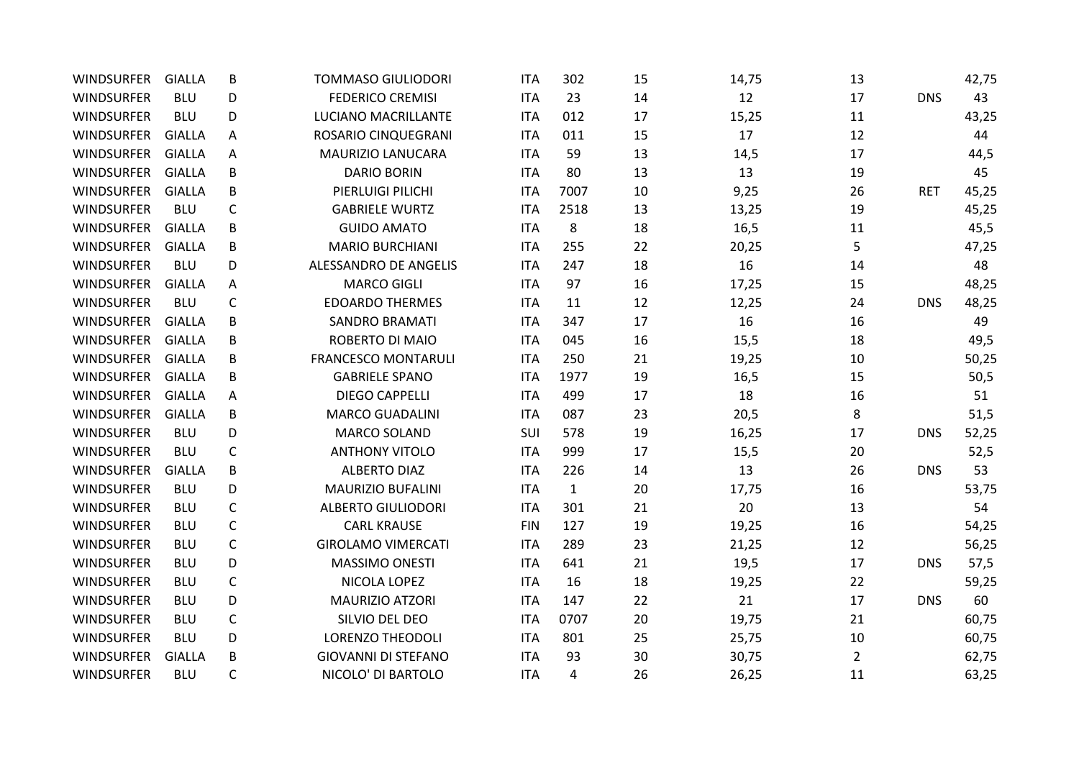| <b>WINDSURFER</b> | <b>GIALLA</b> | B            | <b>TOMMASO GIULIODORI</b>  | <b>ITA</b> | 302          | 15 | 14,75 | 13             |            | 42,75 |
|-------------------|---------------|--------------|----------------------------|------------|--------------|----|-------|----------------|------------|-------|
| <b>WINDSURFER</b> | <b>BLU</b>    | D            | <b>FEDERICO CREMISI</b>    | <b>ITA</b> | 23           | 14 | 12    | 17             | <b>DNS</b> | 43    |
| <b>WINDSURFER</b> | <b>BLU</b>    | D            | LUCIANO MACRILLANTE        | <b>ITA</b> | 012          | 17 | 15,25 | 11             |            | 43,25 |
| <b>WINDSURFER</b> | <b>GIALLA</b> | A            | ROSARIO CINQUEGRANI        | <b>ITA</b> | 011          | 15 | 17    | 12             |            | 44    |
| <b>WINDSURFER</b> | <b>GIALLA</b> | A            | MAURIZIO LANUCARA          | <b>ITA</b> | 59           | 13 | 14,5  | 17             |            | 44,5  |
| <b>WINDSURFER</b> | <b>GIALLA</b> | B            | <b>DARIO BORIN</b>         | <b>ITA</b> | 80           | 13 | 13    | 19             |            | 45    |
| <b>WINDSURFER</b> | <b>GIALLA</b> | B            | PIERLUIGI PILICHI          | <b>ITA</b> | 7007         | 10 | 9,25  | 26             | <b>RET</b> | 45,25 |
| <b>WINDSURFER</b> | <b>BLU</b>    | C            | <b>GABRIELE WURTZ</b>      | <b>ITA</b> | 2518         | 13 | 13,25 | 19             |            | 45,25 |
| <b>WINDSURFER</b> | <b>GIALLA</b> | B            | <b>GUIDO AMATO</b>         | <b>ITA</b> | 8            | 18 | 16,5  | 11             |            | 45,5  |
| <b>WINDSURFER</b> | <b>GIALLA</b> | B            | <b>MARIO BURCHIANI</b>     | <b>ITA</b> | 255          | 22 | 20,25 | 5              |            | 47,25 |
| <b>WINDSURFER</b> | <b>BLU</b>    | D            | ALESSANDRO DE ANGELIS      | <b>ITA</b> | 247          | 18 | 16    | 14             |            | 48    |
| <b>WINDSURFER</b> | <b>GIALLA</b> | A            | <b>MARCO GIGLI</b>         | <b>ITA</b> | 97           | 16 | 17,25 | 15             |            | 48,25 |
| <b>WINDSURFER</b> | <b>BLU</b>    | $\mathsf{C}$ | <b>EDOARDO THERMES</b>     | <b>ITA</b> | 11           | 12 | 12,25 | 24             | <b>DNS</b> | 48,25 |
| <b>WINDSURFER</b> | <b>GIALLA</b> | В            | <b>SANDRO BRAMATI</b>      | <b>ITA</b> | 347          | 17 | 16    | 16             |            | 49    |
| <b>WINDSURFER</b> | <b>GIALLA</b> | B            | ROBERTO DI MAIO            | <b>ITA</b> | 045          | 16 | 15,5  | 18             |            | 49,5  |
| <b>WINDSURFER</b> | <b>GIALLA</b> | B            | <b>FRANCESCO MONTARULI</b> | <b>ITA</b> | 250          | 21 | 19,25 | 10             |            | 50,25 |
| <b>WINDSURFER</b> | <b>GIALLA</b> | B            | <b>GABRIELE SPANO</b>      | <b>ITA</b> | 1977         | 19 | 16,5  | 15             |            | 50,5  |
| <b>WINDSURFER</b> | <b>GIALLA</b> | A            | <b>DIEGO CAPPELLI</b>      | <b>ITA</b> | 499          | 17 | 18    | 16             |            | 51    |
| <b>WINDSURFER</b> | <b>GIALLA</b> | B            | <b>MARCO GUADALINI</b>     | ITA        | 087          | 23 | 20,5  | 8              |            | 51,5  |
| <b>WINDSURFER</b> | <b>BLU</b>    | D            | <b>MARCO SOLAND</b>        | SUI        | 578          | 19 | 16,25 | 17             | <b>DNS</b> | 52,25 |
| <b>WINDSURFER</b> | <b>BLU</b>    | C            | <b>ANTHONY VITOLO</b>      | ITA        | 999          | 17 | 15,5  | 20             |            | 52,5  |
| <b>WINDSURFER</b> | <b>GIALLA</b> | B            | <b>ALBERTO DIAZ</b>        | <b>ITA</b> | 226          | 14 | 13    | 26             | <b>DNS</b> | 53    |
| <b>WINDSURFER</b> | <b>BLU</b>    | D            | <b>MAURIZIO BUFALINI</b>   | <b>ITA</b> | $\mathbf{1}$ | 20 | 17,75 | 16             |            | 53,75 |
| <b>WINDSURFER</b> | <b>BLU</b>    | $\mathsf{C}$ | <b>ALBERTO GIULIODORI</b>  | <b>ITA</b> | 301          | 21 | 20    | 13             |            | 54    |
| <b>WINDSURFER</b> | <b>BLU</b>    | C            | <b>CARL KRAUSE</b>         | <b>FIN</b> | 127          | 19 | 19,25 | 16             |            | 54,25 |
| <b>WINDSURFER</b> | <b>BLU</b>    | $\mathsf{C}$ | <b>GIROLAMO VIMERCATI</b>  | <b>ITA</b> | 289          | 23 | 21,25 | 12             |            | 56,25 |
| <b>WINDSURFER</b> | <b>BLU</b>    | D            | MASSIMO ONESTI             | <b>ITA</b> | 641          | 21 | 19,5  | 17             | <b>DNS</b> | 57,5  |
| <b>WINDSURFER</b> | <b>BLU</b>    | C            | NICOLA LOPEZ               | <b>ITA</b> | 16           | 18 | 19,25 | 22             |            | 59,25 |
| <b>WINDSURFER</b> | <b>BLU</b>    | D            | <b>MAURIZIO ATZORI</b>     | <b>ITA</b> | 147          | 22 | 21    | 17             | <b>DNS</b> | 60    |
| <b>WINDSURFER</b> | <b>BLU</b>    | C            | SILVIO DEL DEO             | <b>ITA</b> | 0707         | 20 | 19,75 | 21             |            | 60,75 |
| WINDSURFER        | <b>BLU</b>    | D            | LORENZO THEODOLI           | <b>ITA</b> | 801          | 25 | 25,75 | 10             |            | 60,75 |
| <b>WINDSURFER</b> | <b>GIALLA</b> | В            | <b>GIOVANNI DI STEFANO</b> | <b>ITA</b> | 93           | 30 | 30,75 | $\overline{2}$ |            | 62,75 |
| <b>WINDSURFER</b> | <b>BLU</b>    | $\mathsf{C}$ | NICOLO' DI BARTOLO         | <b>ITA</b> | 4            | 26 | 26,25 | 11             |            | 63,25 |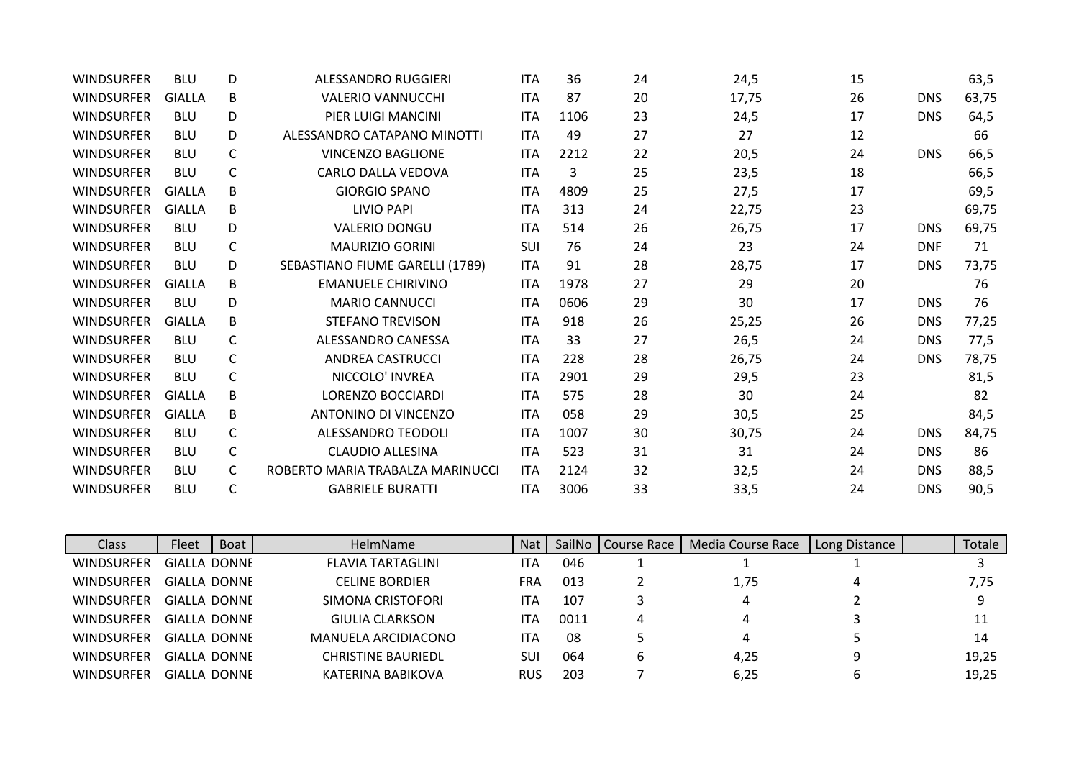| <b>WINDSURFER</b> | <b>BLU</b>    | D            | <b>ALESSANDRO RUGGIERI</b>       | <b>ITA</b> | 36   | 24 | 24,5  | 15 |            | 63,5  |
|-------------------|---------------|--------------|----------------------------------|------------|------|----|-------|----|------------|-------|
| <b>WINDSURFER</b> | <b>GIALLA</b> | B            | <b>VALERIO VANNUCCHI</b>         | <b>ITA</b> | 87   | 20 | 17,75 | 26 | <b>DNS</b> | 63,75 |
| <b>WINDSURFER</b> | <b>BLU</b>    | D            | PIER LUIGI MANCINI               | <b>ITA</b> | 1106 | 23 | 24,5  | 17 | <b>DNS</b> | 64,5  |
| <b>WINDSURFER</b> | <b>BLU</b>    | D            | ALESSANDRO CATAPANO MINOTTI      | <b>ITA</b> | 49   | 27 | 27    | 12 |            | 66    |
| <b>WINDSURFER</b> | <b>BLU</b>    | C            | <b>VINCENZO BAGLIONE</b>         | <b>ITA</b> | 2212 | 22 | 20,5  | 24 | <b>DNS</b> | 66,5  |
| <b>WINDSURFER</b> | <b>BLU</b>    | C            | CARLO DALLA VEDOVA               | <b>ITA</b> | 3    | 25 | 23,5  | 18 |            | 66,5  |
| <b>WINDSURFER</b> | GIALLA        | B            | <b>GIORGIO SPANO</b>             | <b>ITA</b> | 4809 | 25 | 27,5  | 17 |            | 69,5  |
| <b>WINDSURFER</b> | <b>GIALLA</b> | B            | <b>LIVIO PAPI</b>                | <b>ITA</b> | 313  | 24 | 22,75 | 23 |            | 69,75 |
| <b>WINDSURFER</b> | <b>BLU</b>    | D            | <b>VALERIO DONGU</b>             | <b>ITA</b> | 514  | 26 | 26,75 | 17 | <b>DNS</b> | 69,75 |
| WINDSURFER        | <b>BLU</b>    | $\mathsf{C}$ | <b>MAURIZIO GORINI</b>           | <b>SUI</b> | 76   | 24 | 23    | 24 | <b>DNF</b> | 71    |
| <b>WINDSURFER</b> | <b>BLU</b>    | D            | SEBASTIANO FIUME GARELLI (1789)  | <b>ITA</b> | 91   | 28 | 28,75 | 17 | <b>DNS</b> | 73,75 |
| <b>WINDSURFER</b> | <b>GIALLA</b> | B            | <b>EMANUELE CHIRIVINO</b>        | <b>ITA</b> | 1978 | 27 | 29    | 20 |            | 76    |
| <b>WINDSURFER</b> | <b>BLU</b>    | D            | <b>MARIO CANNUCCI</b>            | <b>ITA</b> | 0606 | 29 | 30    | 17 | <b>DNS</b> | 76    |
| <b>WINDSURFER</b> | <b>GIALLA</b> | B            | <b>STEFANO TREVISON</b>          | <b>ITA</b> | 918  | 26 | 25,25 | 26 | <b>DNS</b> | 77,25 |
| <b>WINDSURFER</b> | <b>BLU</b>    | C            | ALESSANDRO CANESSA               | <b>ITA</b> | 33   | 27 | 26,5  | 24 | <b>DNS</b> | 77,5  |
| <b>WINDSURFER</b> | <b>BLU</b>    | C            | <b>ANDREA CASTRUCCI</b>          | <b>ITA</b> | 228  | 28 | 26,75 | 24 | <b>DNS</b> | 78,75 |
| <b>WINDSURFER</b> | <b>BLU</b>    | C            | NICCOLO' INVREA                  | <b>ITA</b> | 2901 | 29 | 29,5  | 23 |            | 81,5  |
| <b>WINDSURFER</b> | GIALLA        | B            | <b>LORENZO BOCCIARDI</b>         | <b>ITA</b> | 575  | 28 | 30    | 24 |            | 82    |
| <b>WINDSURFER</b> | <b>GIALLA</b> | B            | <b>ANTONINO DI VINCENZO</b>      | <b>ITA</b> | 058  | 29 | 30,5  | 25 |            | 84,5  |
| <b>WINDSURFER</b> | <b>BLU</b>    | C            | ALESSANDRO TEODOLI               | <b>ITA</b> | 1007 | 30 | 30,75 | 24 | <b>DNS</b> | 84,75 |
| <b>WINDSURFER</b> | <b>BLU</b>    | C            | <b>CLAUDIO ALLESINA</b>          | <b>ITA</b> | 523  | 31 | 31    | 24 | <b>DNS</b> | 86    |
| <b>WINDSURFER</b> | <b>BLU</b>    | C            | ROBERTO MARIA TRABALZA MARINUCCI | <b>ITA</b> | 2124 | 32 | 32,5  | 24 | <b>DNS</b> | 88,5  |
| <b>WINDSURFER</b> | <b>BLU</b>    | C            | <b>GABRIELE BURATTI</b>          | <b>ITA</b> | 3006 | 33 | 33,5  | 24 | <b>DNS</b> | 90,5  |

| Class             | Fleet               | Boat | <b>HelmName</b>          | <b>Nat</b> | SailNo | Course Race | Media Course Race | Long Distance | Totale |
|-------------------|---------------------|------|--------------------------|------------|--------|-------------|-------------------|---------------|--------|
| <b>WINDSURFER</b> | <b>GIALLA DONNE</b> |      | <b>FLAVIA TARTAGLINI</b> | ITA        | 046    |             |                   |               |        |
| <b>WINDSURFER</b> | <b>GIALLA DONNE</b> |      | <b>CELINE BORDIER</b>    | <b>FRA</b> | 013    |             | 1,75              |               | 7,75   |
| <b>WINDSURFER</b> | GIALLA DONNE        |      | SIMONA CRISTOFORI        | ITA        | 107    |             | 4                 |               | 9      |
| <b>WINDSURFER</b> | GIALLA DONNE        |      | GIULIA CLARKSON          | ITA        | 0011   | 4           | 4                 |               | 11     |
| <b>WINDSURFER</b> | GIALLA DONNE        |      | MANUELA ARCIDIACONO      | ITA        | 08     |             | 4                 |               | 14     |
| <b>WINDSURFER</b> | GIALLA DONNE        |      | CHRISTINE BAURIEDL       | SUI        | 064    | b           | 4,25              | 9             | 19,25  |
| <b>WINDSURFER</b> | <b>GIALLA DONNE</b> |      | KATERINA BABIKOVA        | <b>RUS</b> | 203    |             | 6,25              | b             | 19,25  |